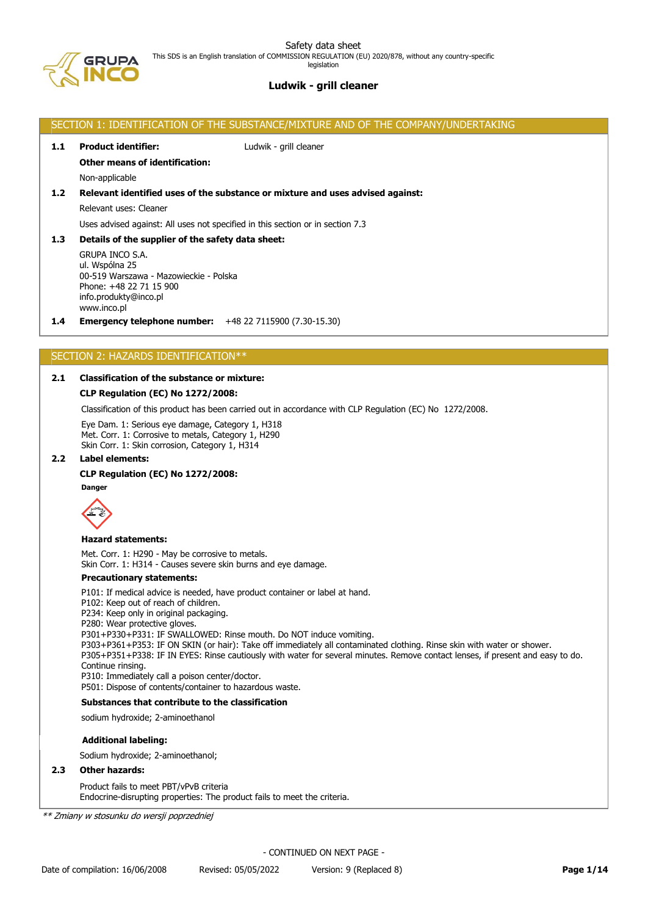

# **Ludwik - grill cleaner**

## SECTION 1: IDENTIFICATION OF THE SUBSTANCE/MIXTURE AND OF THE COMPANY/UNDERTAKING

#### **1.1 Product identifier:** Ludwik - grill cleaner

## **Other means of identification:**

Non-applicable

## **1.2 Relevant identified uses of the substance or mixture and uses advised against:**

Relevant uses: Cleaner

Uses advised against: All uses not specified in this section or in section 7.3

## **1.3 Details of the supplier of the safety data sheet:**

GRUPA INCO S.A. ul. Wspólna 25 00-519 Warszawa - Mazowieckie - Polska Phone: +48 22 71 15 900 info.produkty@inco.pl www.inco.pl

**1.4 Emergency telephone number:** +48 22 7115900 (7.30-15.30)

## SECTION 2: HAZARDS IDENTIFICATION\*\*

## **2.1 Classification of the substance or mixture:**

## **CLP Regulation (EC) No 1272/2008:**

Classification of this product has been carried out in accordance with CLP Regulation (EC) No 1272/2008.

Eye Dam. 1: Serious eye damage, Category 1, H318 Met. Corr. 1: Corrosive to metals, Category 1, H290 Skin Corr. 1: Skin corrosion, Category 1, H314

## **2.2 Label elements:**

#### **CLP Regulation (EC) No 1272/2008:**



#### **Hazard statements:**

Met. Corr. 1: H290 - May be corrosive to metals.

Skin Corr. 1: H314 - Causes severe skin burns and eye damage.

## **Precautionary statements:**

P101: If medical advice is needed, have product container or label at hand.

P102: Keep out of reach of children.

P234: Keep only in original packaging.

P280: Wear protective gloves.

P301+P330+P331: IF SWALLOWED: Rinse mouth. Do NOT induce vomiting.

P303+P361+P353: IF ON SKIN (or hair): Take off immediately all contaminated clothing. Rinse skin with water or shower. P305+P351+P338: IF IN EYES: Rinse cautiously with water for several minutes. Remove contact lenses, if present and easy to do. Continue rinsing.

P310: Immediately call a poison center/doctor.

P501: Dispose of contents/container to hazardous waste.

# **Substances that contribute to the classification**

sodium hydroxide; 2-aminoethanol

#### **Additional labeling:**

Sodium hydroxide; 2-aminoethanol;

## **2.3 Other hazards:**

Product fails to meet PBT/vPvB criteria Endocrine-disrupting properties: The product fails to meet the criteria.

\*\* Zmiany w stosunku do wersji poprzedniej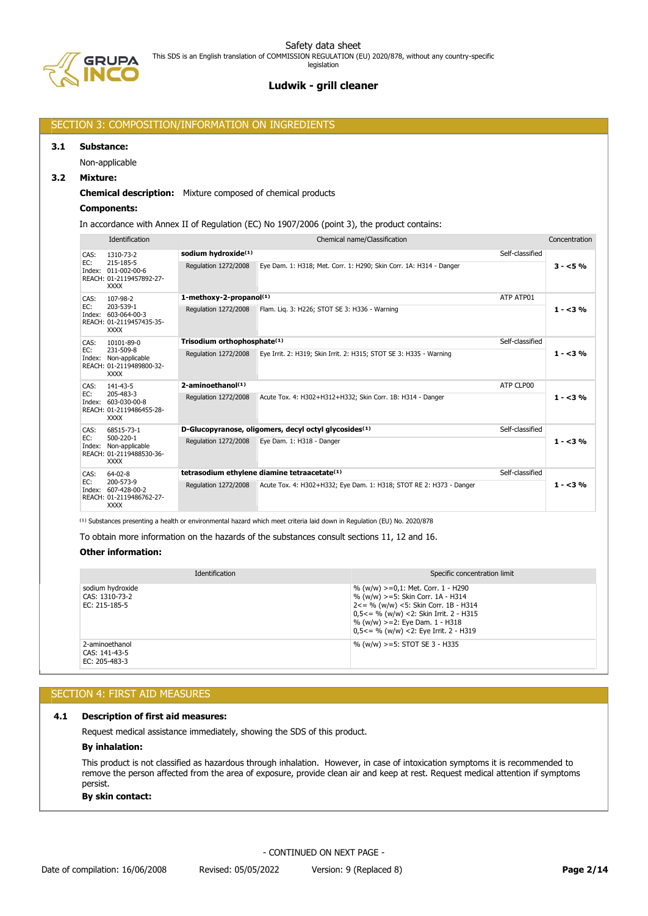# SECTION 3: COMPOSITION/INFORMATION ON INGREDIENTS

#### **3.1 Substance:**

Non-applicable

## **3.2 Mixture:**

### **Chemical description:** Mixture composed of chemical products

## **Components:**

In accordance with Annex II of Regulation (EC) No 1907/2006 (point 3), the product contains:

|      | Identification                                                                          | Chemical name/Classification<br>Concentration |                                                                     |                 |           |  |
|------|-----------------------------------------------------------------------------------------|-----------------------------------------------|---------------------------------------------------------------------|-----------------|-----------|--|
| CAS: | 1310-73-2                                                                               | sodium hydroxide(1)                           | Self-classified                                                     |                 |           |  |
| EC:  | 215-185-5<br>Index: 011-002-00-6<br>REACH: 01-2119457892-27-<br><b>XXXX</b>             | Regulation 1272/2008                          | Eye Dam. 1: H318; Met. Corr. 1: H290; Skin Corr. 1A: H314 - Danger  |                 | $3 - 5%$  |  |
| CAS: | 107-98-2                                                                                | 1-methoxy-2-propanol(1)                       |                                                                     | ATP ATP01       |           |  |
| EC:  | 203-539-1<br>Index: 603-064-00-3<br>REACH: 01-2119457435-35-<br><b>XXXX</b>             | Regulation 1272/2008                          | Flam. Lig. 3: H226; STOT SE 3: H336 - Warning                       |                 | $1 - 3\%$ |  |
| CAS: | 10101-89-0                                                                              | Trisodium orthophosphate <sup>(1)</sup>       |                                                                     | Self-classified |           |  |
| EC:  | 231-509-8<br>Index: Non-applicable<br>REACH: 01-2119489800-32-<br><b>XXXX</b>           | Regulation 1272/2008                          | Eye Irrit. 2: H319; Skin Irrit. 2: H315; STOT SE 3: H335 - Warning  |                 | $1 - 3\%$ |  |
| CAS: | 141-43-5<br>205-483-3<br>Index: 603-030-00-8<br>REACH: 01-2119486455-28-<br><b>XXXX</b> | $2$ -aminoethanol $(1)$                       | ATP CLP00                                                           |                 |           |  |
| EC:  |                                                                                         | Regulation 1272/2008                          | Acute Tox. 4: H302+H312+H332; Skin Corr. 1B: H314 - Danger          |                 | $1 - 3\%$ |  |
| CAS: | 68515-73-1                                                                              |                                               | D-Glucopyranose, oligomers, decyl octyl glycosides <sup>(1)</sup>   | Self-classified |           |  |
| EC:  | 500-220-1<br>Index: Non-applicable<br>REACH: 01-2119488530-36-<br><b>XXXX</b>           | Regulation 1272/2008                          | Eye Dam. 1: H318 - Danger                                           |                 | $1 - 3\%$ |  |
| CAS: | $64 - 02 - 8$                                                                           |                                               | tetrasodium ethylene diamine tetraacetate <sup>(1)</sup>            | Self-classified |           |  |
| EC:  | 200-573-9<br>Index: 607-428-00-2<br>REACH: 01-2119486762-27-<br><b>XXXX</b>             | Regulation 1272/2008                          | Acute Tox. 4: H302+H332; Eye Dam. 1: H318; STOT RE 2: H373 - Danger |                 | $1 - 3\%$ |  |

<sup>(1)</sup> Substances presenting a health or environmental hazard which meet criteria laid down in Regulation (EU) No. 2020/878

To obtain more information on the hazards of the substances consult sections 11, 12 and 16.

## **Other information:**

| <b>Identification</b>                               | Specific concentration limit                                                                                                                                                                                                                                 |
|-----------------------------------------------------|--------------------------------------------------------------------------------------------------------------------------------------------------------------------------------------------------------------------------------------------------------------|
| sodium hydroxide<br>CAS: 1310-73-2<br>EC: 215-185-5 | % (w/w) >=0,1: Met. Corr. 1 - H290<br>% (w/w) >=5: Skin Corr. 1A - H314<br>$2 \le$ = % (w/w) <5: Skin Corr. 1B - H314<br>$0.5<=$ % (w/w) <2: Skin Irrit. 2 - H315<br>$% (w/w)$ >=2: Eye Dam. 1 - H318<br>$0.5 \leq x \leq 96$ (w/w) < 2: Eye Irrit. 2 - H319 |
| 2-aminoethanol<br>CAS: 141-43-5<br>EC: 205-483-3    | % (w/w) $>=5$ : STOT SE 3 - H335                                                                                                                                                                                                                             |

## SECTION 4: FIRST AID MEASURES

#### **4.1 Description of first aid measures:**

Request medical assistance immediately, showing the SDS of this product.

## **By inhalation:**

This product is not classified as hazardous through inhalation. However, in case of intoxication symptoms it is recommended to remove the person affected from the area of exposure, provide clean air and keep at rest. Request medical attention if symptoms persist.

## **By skin contact:**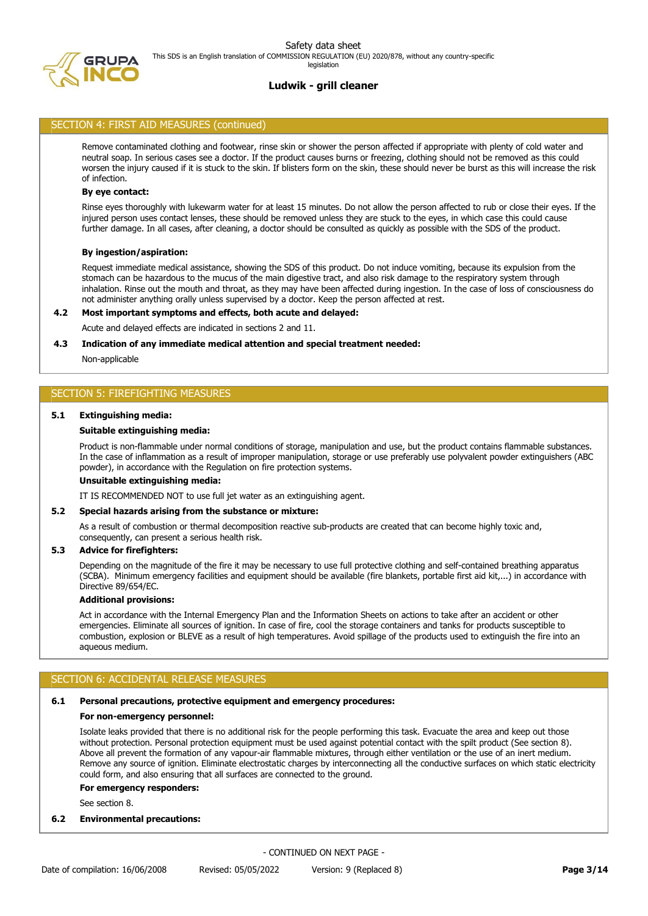

#### SECTION 4: FIRST AID MEASURES (continued)

Remove contaminated clothing and footwear, rinse skin or shower the person affected if appropriate with plenty of cold water and neutral soap. In serious cases see a doctor. If the product causes burns or freezing, clothing should not be removed as this could worsen the injury caused if it is stuck to the skin. If blisters form on the skin, these should never be burst as this will increase the risk of infection.

#### **By eye contact:**

Rinse eyes thoroughly with lukewarm water for at least 15 minutes. Do not allow the person affected to rub or close their eyes. If the injured person uses contact lenses, these should be removed unless they are stuck to the eyes, in which case this could cause further damage. In all cases, after cleaning, a doctor should be consulted as quickly as possible with the SDS of the product.

#### **By ingestion/aspiration:**

Request immediate medical assistance, showing the SDS of this product. Do not induce vomiting, because its expulsion from the stomach can be hazardous to the mucus of the main digestive tract, and also risk damage to the respiratory system through inhalation. Rinse out the mouth and throat, as they may have been affected during ingestion. In the case of loss of consciousness do not administer anything orally unless supervised by a doctor. Keep the person affected at rest.

#### **4.2 Most important symptoms and effects, both acute and delayed:**

Acute and delayed effects are indicated in sections 2 and 11.

#### **4.3 Indication of any immediate medical attention and special treatment needed:**

Non-applicable

#### SECTION 5: FIREFIGHTING MEASURES

#### **5.1 Extinguishing media:**

#### **Suitable extinguishing media:**

Product is non-flammable under normal conditions of storage, manipulation and use, but the product contains flammable substances. In the case of inflammation as a result of improper manipulation, storage or use preferably use polyvalent powder extinguishers (ABC powder), in accordance with the Regulation on fire protection systems.

#### **Unsuitable extinguishing media:**

IT IS RECOMMENDED NOT to use full jet water as an extinguishing agent.

#### **5.2 Special hazards arising from the substance or mixture:**

As a result of combustion or thermal decomposition reactive sub-products are created that can become highly toxic and, consequently, can present a serious health risk.

#### **5.3 Advice for firefighters:**

Depending on the magnitude of the fire it may be necessary to use full protective clothing and self-contained breathing apparatus (SCBA). Minimum emergency facilities and equipment should be available (fire blankets, portable first aid kit,...) in accordance with Directive 89/654/EC.

#### **Additional provisions:**

Act in accordance with the Internal Emergency Plan and the Information Sheets on actions to take after an accident or other emergencies. Eliminate all sources of ignition. In case of fire, cool the storage containers and tanks for products susceptible to combustion, explosion or BLEVE as a result of high temperatures. Avoid spillage of the products used to extinguish the fire into an aqueous medium.

## SECTION 6: ACCIDENTAL RELEASE MEASURES

#### **6.1 Personal precautions, protective equipment and emergency procedures:**

#### **For non-emergency personnel:**

Isolate leaks provided that there is no additional risk for the people performing this task. Evacuate the area and keep out those without protection. Personal protection equipment must be used against potential contact with the spilt product (See section 8). Above all prevent the formation of any vapour-air flammable mixtures, through either ventilation or the use of an inert medium. Remove any source of ignition. Eliminate electrostatic charges by interconnecting all the conductive surfaces on which static electricity could form, and also ensuring that all surfaces are connected to the ground.

#### **For emergency responders:**

See section 8.

## **6.2 Environmental precautions:**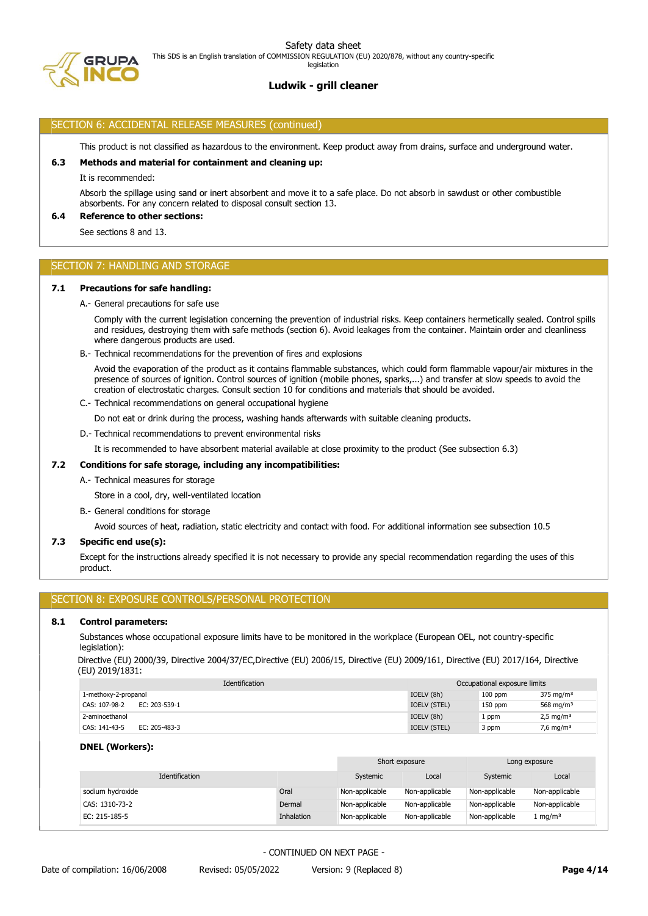

#### SECTION 6: ACCIDENTAL RELEASE MEASURES (continued)

This product is not classified as hazardous to the environment. Keep product away from drains, surface and underground water.

#### **6.3 Methods and material for containment and cleaning up:**

It is recommended:

Absorb the spillage using sand or inert absorbent and move it to a safe place. Do not absorb in sawdust or other combustible absorbents. For any concern related to disposal consult section 13.

#### **6.4 Reference to other sections:**

See sections 8 and 13.

## SECTION 7: HANDLING AND STORAGE

#### **7.1 Precautions for safe handling:**

A.- General precautions for safe use

Comply with the current legislation concerning the prevention of industrial risks. Keep containers hermetically sealed. Control spills and residues, destroying them with safe methods (section 6). Avoid leakages from the container. Maintain order and cleanliness where dangerous products are used.

B.- Technical recommendations for the prevention of fires and explosions

Avoid the evaporation of the product as it contains flammable substances, which could form flammable vapour/air mixtures in the presence of sources of ignition. Control sources of ignition (mobile phones, sparks,...) and transfer at slow speeds to avoid the creation of electrostatic charges. Consult section 10 for conditions and materials that should be avoided.

C.- Technical recommendations on general occupational hygiene

Do not eat or drink during the process, washing hands afterwards with suitable cleaning products.

D.- Technical recommendations to prevent environmental risks

It is recommended to have absorbent material available at close proximity to the product (See subsection 6.3)

## **7.2 Conditions for safe storage, including any incompatibilities:**

A.- Technical measures for storage

Store in a cool, dry, well-ventilated location

B.- General conditions for storage

Avoid sources of heat, radiation, static electricity and contact with food. For additional information see subsection 10.5

## **7.3 Specific end use(s):**

Except for the instructions already specified it is not necessary to provide any special recommendation regarding the uses of this product.

### SECTION 8: EXPOSURE CONTROLS/PERSONAL PROTECTION

#### **8.1 Control parameters:**

Substances whose occupational exposure limits have to be monitored in the workplace (European OEL, not country-specific legislation):

Directive (EU) 2000/39, Directive 2004/37/EC,Directive (EU) 2006/15, Directive (EU) 2009/161, Directive (EU) 2017/164, Directive (EU) 2019/1831:

| Identification                 | Occupational exposure limits |           |                         |
|--------------------------------|------------------------------|-----------|-------------------------|
| 1-methoxy-2-propanol           | IOELV (8h)                   | $100$ ppm | $375 \text{ mg/m}^3$    |
| EC: 203-539-1<br>CAS: 107-98-2 | IOELV (STEL)                 | $150$ ppm | 568 mg/m <sup>3</sup>   |
| 2-aminoethanol                 | IOELV (8h)                   | l ppm     | $2,5$ mg/m <sup>3</sup> |
| CAS: 141-43-5<br>EC: 205-483-3 | IOELV (STEL)                 | 3 ppm     | 7,6 mg/m <sup>3</sup>   |

#### **DNEL (Workers):**

|                  |            | Short exposure |                | Long exposure  |                     |
|------------------|------------|----------------|----------------|----------------|---------------------|
| Identification   |            | Systemic       | Local          | Systemic       | Local               |
| sodium hydroxide | Oral       | Non-applicable | Non-applicable | Non-applicable | Non-applicable      |
| CAS: 1310-73-2   | Dermal     | Non-applicable | Non-applicable | Non-applicable | Non-applicable      |
| EC: 215-185-5    | Inhalation | Non-applicable | Non-applicable | Non-applicable | l mg/m <sup>3</sup> |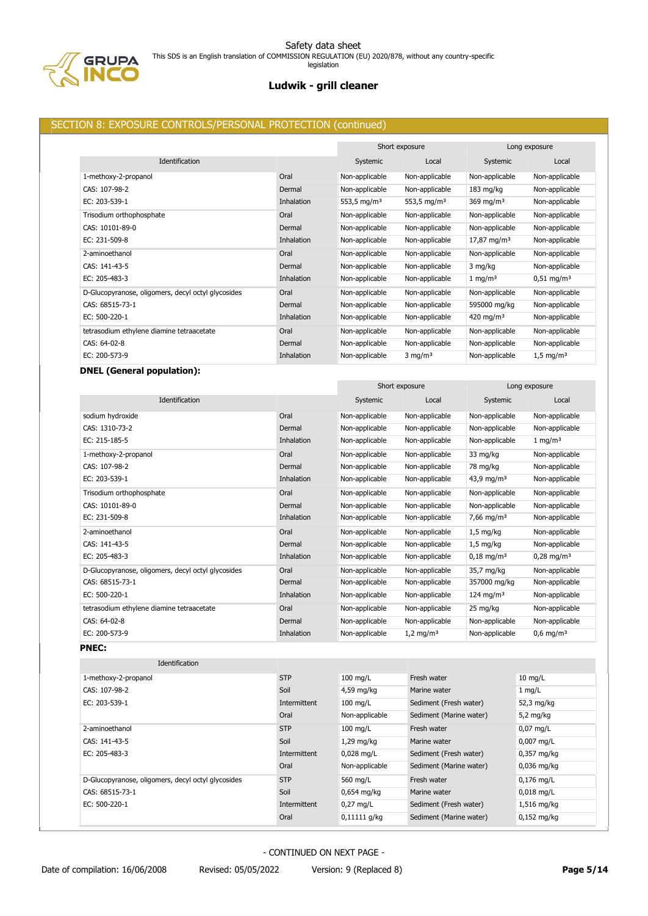

# **Ludwik - grill cleaner**

## SECTION 8: EXPOSURE CONTROLS/PERSONAL PROTECTION (continued)

|                                                    |            |                         | Short exposure          |                        | Long exposure           |
|----------------------------------------------------|------------|-------------------------|-------------------------|------------------------|-------------------------|
| Identification                                     |            | Systemic                | Local                   | Systemic               | Local                   |
| 1-methoxy-2-propanol                               | Oral       | Non-applicable          | Non-applicable          | Non-applicable         | Non-applicable          |
| CAS: 107-98-2                                      | Dermal     | Non-applicable          | Non-applicable          | $183 \text{ mg/kg}$    | Non-applicable          |
| EC: 203-539-1                                      | Inhalation | 553,5 mg/m <sup>3</sup> | 553,5 mg/m <sup>3</sup> | 369 mg/m $3$           | Non-applicable          |
| Trisodium orthophosphate                           | Oral       | Non-applicable          | Non-applicable          | Non-applicable         | Non-applicable          |
| CAS: 10101-89-0                                    | Dermal     | Non-applicable          | Non-applicable          | Non-applicable         | Non-applicable          |
| EC: 231-509-8                                      | Inhalation | Non-applicable          | Non-applicable          | $17,87 \text{ mg/m}^3$ | Non-applicable          |
| 2-aminoethanol                                     | Oral       | Non-applicable          | Non-applicable          | Non-applicable         | Non-applicable          |
| CAS: 141-43-5                                      | Dermal     | Non-applicable          | Non-applicable          | 3 mg/kg                | Non-applicable          |
| EC: 205-483-3                                      | Inhalation | Non-applicable          | Non-applicable          | $1 \text{ mg/m}^3$     | $0.51 \text{ mg/m}^3$   |
| D-Glucopyranose, oligomers, decyl octyl glycosides | Oral       | Non-applicable          | Non-applicable          | Non-applicable         | Non-applicable          |
| CAS: 68515-73-1                                    | Dermal     | Non-applicable          | Non-applicable          | 595000 mg/kg           | Non-applicable          |
| EC: 500-220-1                                      | Inhalation | Non-applicable          | Non-applicable          | 420 mg/m <sup>3</sup>  | Non-applicable          |
| tetrasodium ethylene diamine tetraacetate          | Oral       | Non-applicable          | Non-applicable          | Non-applicable         | Non-applicable          |
| CAS: 64-02-8                                       | Dermal     | Non-applicable          | Non-applicable          | Non-applicable         | Non-applicable          |
| EC: 200-573-9                                      | Inhalation | Non-applicable          | $3 \text{ mg/m}^3$      | Non-applicable         | $1,5 \,\mathrm{mg/m^3}$ |

# **DNEL (General population):**

|                                                    |                   | Short exposure |                      | Long exposure          |                         |
|----------------------------------------------------|-------------------|----------------|----------------------|------------------------|-------------------------|
| Identification                                     |                   | Systemic       | Local                | Systemic               | Local                   |
| sodium hydroxide                                   | Oral              | Non-applicable | Non-applicable       | Non-applicable         | Non-applicable          |
| CAS: 1310-73-2                                     | Dermal            | Non-applicable | Non-applicable       | Non-applicable         | Non-applicable          |
| EC: 215-185-5                                      | <b>Inhalation</b> | Non-applicable | Non-applicable       | Non-applicable         | $1 \text{ mg/m}^3$      |
| 1-methoxy-2-propanol                               | Oral              | Non-applicable | Non-applicable       | 33 mg/kg               | Non-applicable          |
| CAS: 107-98-2                                      | Dermal            | Non-applicable | Non-applicable       | 78 mg/kg               | Non-applicable          |
| EC: 203-539-1                                      | <b>Inhalation</b> | Non-applicable | Non-applicable       | 43,9 mg/m <sup>3</sup> | Non-applicable          |
| Trisodium orthophosphate                           | Oral              | Non-applicable | Non-applicable       | Non-applicable         | Non-applicable          |
| CAS: 10101-89-0                                    | Dermal            | Non-applicable | Non-applicable       | Non-applicable         | Non-applicable          |
| EC: 231-509-8                                      | <b>Inhalation</b> | Non-applicable | Non-applicable       | 7,66 mg/m <sup>3</sup> | Non-applicable          |
| 2-aminoethanol                                     | Oral              | Non-applicable | Non-applicable       | $1,5$ mg/kg            | Non-applicable          |
| CAS: 141-43-5                                      | Dermal            | Non-applicable | Non-applicable       | $1.5$ mg/kg            | Non-applicable          |
| EC: 205-483-3                                      | Inhalation        | Non-applicable | Non-applicable       | $0,18 \text{ mg/m}^3$  | $0,28 \text{ mg/m}^3$   |
| D-Glucopyranose, oligomers, decyl octyl glycosides | Oral              | Non-applicable | Non-applicable       | 35,7 mg/kg             | Non-applicable          |
| CAS: 68515-73-1                                    | Dermal            | Non-applicable | Non-applicable       | 357000 mg/kg           | Non-applicable          |
| EC: 500-220-1                                      | <b>Inhalation</b> | Non-applicable | Non-applicable       | 124 mg/m <sup>3</sup>  | Non-applicable          |
| tetrasodium ethylene diamine tetraacetate          | Oral              | Non-applicable | Non-applicable       | 25 mg/kg               | Non-applicable          |
| CAS: 64-02-8                                       | Dermal            | Non-applicable | Non-applicable       | Non-applicable         | Non-applicable          |
| EC: 200-573-9                                      | <b>Inhalation</b> | Non-applicable | $1,2 \text{ mg/m}^3$ | Non-applicable         | $0.6$ mg/m <sup>3</sup> |
| <b>PNEC:</b>                                       |                   |                |                      |                        |                         |

| Identification                                     |              |                |                         |                      |
|----------------------------------------------------|--------------|----------------|-------------------------|----------------------|
| 1-methoxy-2-propanol                               | <b>STP</b>   | $100$ mg/L     | Fresh water             | $10 \text{ mg/L}$    |
| CAS: 107-98-2                                      | Soil         | 4,59 mg/kg     | Marine water            | $1 \text{mq/L}$      |
| EC: 203-539-1                                      | Intermittent | $100$ mg/L     | Sediment (Fresh water)  | 52,3 mg/kg           |
|                                                    | Oral         | Non-applicable | Sediment (Marine water) | $5,2$ mg/kg          |
| 2-aminoethanol                                     | <b>STP</b>   | $100$ mg/L     | Fresh water             | $0.07$ mg/L          |
| CAS: 141-43-5                                      | Soil         | $1,29$ mg/kg   | Marine water            | $0,007$ mg/L         |
| EC: 205-483-3                                      | Intermittent | $0,028$ mg/L   | Sediment (Fresh water)  | $0,357$ mg/kg        |
|                                                    | Oral         | Non-applicable | Sediment (Marine water) | $0.036$ mg/kg        |
| D-Glucopyranose, oligomers, decyl octyl glycosides | <b>STP</b>   | 560 mg/L       | Fresh water             | $0,176$ mg/L         |
| CAS: 68515-73-1                                    | Soil         | $0.654$ mg/kg  | Marine water            | $0,018 \text{ mg/L}$ |
| EC: 500-220-1                                      | Intermittent | $0.27$ mg/L    | Sediment (Fresh water)  | 1,516 mg/kg          |
|                                                    | Oral         | $0,11111$ q/kg | Sediment (Marine water) | $0.152$ mg/kg        |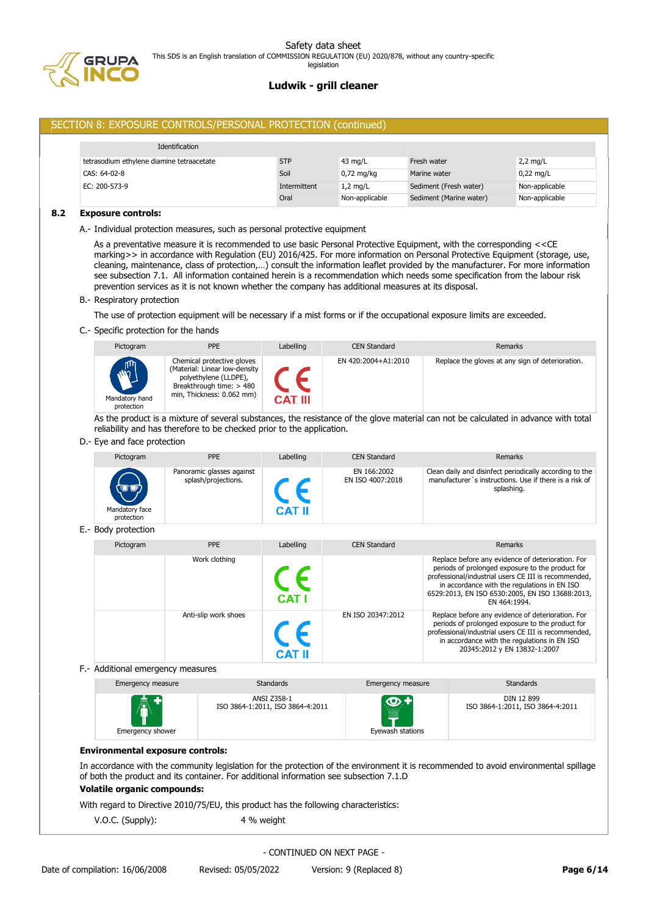

## SECTION 8: EXPOSURE CONTROLS/PERSONAL PROTECTION (continued)

| Identification                            |              |                   |                         |                |
|-------------------------------------------|--------------|-------------------|-------------------------|----------------|
| tetrasodium ethylene diamine tetraacetate | <b>STP</b>   | $43 \text{ mg/L}$ | Fresh water             | $2,2$ mg/L     |
| CAS: 64-02-8                              | Soil         | $0.72$ mg/kg      | Marine water            | $0.22$ mg/L    |
| EC: 200-573-9                             | Intermittent | $1,2$ mg/L        | Sediment (Fresh water)  | Non-applicable |
|                                           | Oral         | Non-applicable    | Sediment (Marine water) | Non-applicable |

#### **8.2 Exposure controls:**

A.- Individual protection measures, such as personal protective equipment

As a preventative measure it is recommended to use basic Personal Protective Equipment, with the corresponding <<CE marking>> in accordance with Regulation (EU) 2016/425. For more information on Personal Protective Equipment (storage, use, cleaning, maintenance, class of protection,…) consult the information leaflet provided by the manufacturer. For more information see subsection 7.1. All information contained herein is a recommendation which needs some specification from the labour risk prevention services as it is not known whether the company has additional measures at its disposal.

#### B.- Respiratory protection

The use of protection equipment will be necessary if a mist forms or if the occupational exposure limits are exceeded.

C.- Specific protection for the hands

| Pictogram                             | <b>PPE</b>                                                                                                                                    | Labelling      | <b>CEN Standard</b> | Remarks                                          |
|---------------------------------------|-----------------------------------------------------------------------------------------------------------------------------------------------|----------------|---------------------|--------------------------------------------------|
| WVIII<br>Mandatory hand<br>protection | Chemical protective gloves<br>(Material: Linear low-density<br>polyethylene (LLDPE),<br>Breakthrough time: > 480<br>min, Thickness: 0.062 mm) | <b>CAT III</b> | EN 420:2004+A1:2010 | Replace the gloves at any sign of deterioration. |

As the product is a mixture of several substances, the resistance of the glove material can not be calculated in advance with total reliability and has therefore to be checked prior to the application.

#### D.- Eye and face protection

| Pictogram                    | <b>PPE</b>                                       | Labelling | <b>CEN Standard</b>             | <b>Remarks</b>                                                                                                                  |
|------------------------------|--------------------------------------------------|-----------|---------------------------------|---------------------------------------------------------------------------------------------------------------------------------|
| Mandatory face<br>protection | Panoramic glasses against<br>splash/projections. | CAT II    | EN 166:2002<br>EN ISO 4007:2018 | Clean daily and disinfect periodically according to the<br>manufacturer's instructions. Use if there is a risk of<br>splashing. |

## E.- Body protection

| Pictogram | <b>PPE</b>           | Labelling    | <b>CEN Standard</b> | Remarks                                                                                                                                                                                                                                                                          |
|-----------|----------------------|--------------|---------------------|----------------------------------------------------------------------------------------------------------------------------------------------------------------------------------------------------------------------------------------------------------------------------------|
|           | Work clothing        | <b>CAT I</b> |                     | Replace before any evidence of deterioration. For<br>periods of prolonged exposure to the product for<br>professional/industrial users CE III is recommended,<br>in accordance with the regulations in EN ISO<br>6529:2013, EN ISO 6530:2005, EN ISO 13688:2013,<br>EN 464:1994. |
|           | Anti-slip work shoes |              | EN ISO 20347:2012   | Replace before any evidence of deterioration. For<br>periods of prolonged exposure to the product for<br>professional/industrial users CE III is recommended,<br>in accordance with the regulations in EN ISO<br>20345:2012 y EN 13832-1:2007                                    |

F.- Additional emergency measures

| Emergency measure             | <b>Standards</b>                                | Emergency measure                                 | <b>Standards</b>                               |
|-------------------------------|-------------------------------------------------|---------------------------------------------------|------------------------------------------------|
| <b>AT</b><br>Emergency shower | ANSI Z358-1<br>ISO 3864-1:2011, ISO 3864-4:2011 | $\bigcirc$ . +<br><b>WALK</b><br>Eyewash stations | DIN 12 899<br>ISO 3864-1:2011, ISO 3864-4:2011 |

#### **Environmental exposure controls:**

In accordance with the community legislation for the protection of the environment it is recommended to avoid environmental spillage of both the product and its container. For additional information see subsection 7.1.D

## **Volatile organic compounds:**

With regard to Directive 2010/75/EU, this product has the following characteristics:

V.O.C. (Supply): 4 % weight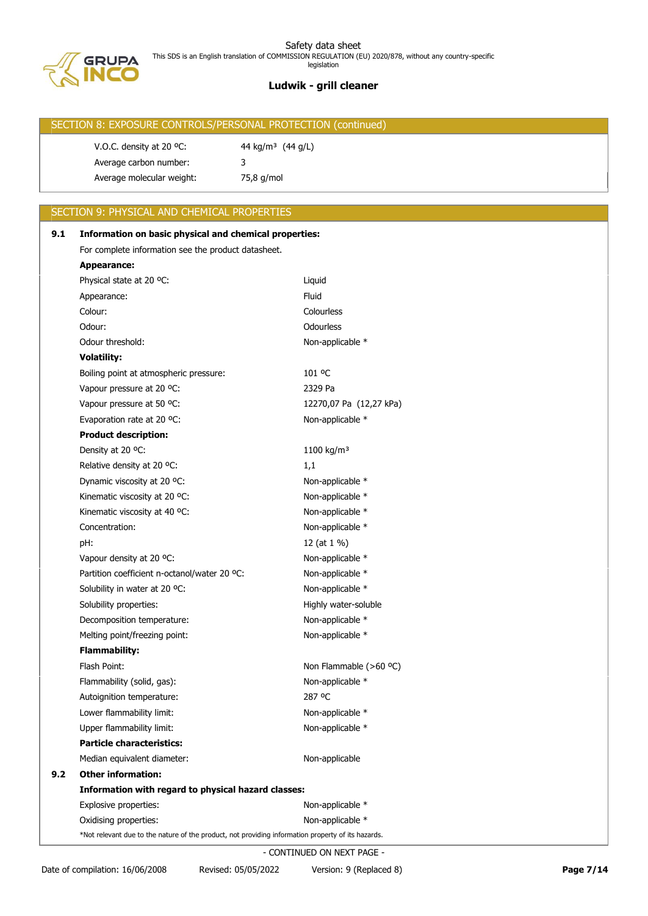

# SECTION 8: EXPOSURE CONTROLS/PERSONAL PROTECTION (continued) V.O.C. density at 20 °C:  $44 \text{ kg/m}^3$  (44 g/L) Average carbon number: 3 Average molecular weight: 75,8 g/mol

# SECTION 9: PHYSICAL AND CHEMICAL PROPERTIES

| 9.1 | Information on basic physical and chemical properties:                                             |                         |  |  |  |
|-----|----------------------------------------------------------------------------------------------------|-------------------------|--|--|--|
|     | For complete information see the product datasheet.                                                |                         |  |  |  |
|     | Appearance:                                                                                        |                         |  |  |  |
|     | Physical state at 20 °C:                                                                           | Liquid                  |  |  |  |
|     | Appearance:                                                                                        | Fluid                   |  |  |  |
|     | Colour:                                                                                            | Colourless              |  |  |  |
|     | Odour:                                                                                             | <b>Odourless</b>        |  |  |  |
|     | Odour threshold:                                                                                   | Non-applicable *        |  |  |  |
|     | <b>Volatility:</b>                                                                                 |                         |  |  |  |
|     | Boiling point at atmospheric pressure:                                                             | 101 °C                  |  |  |  |
|     | Vapour pressure at 20 °C:                                                                          | 2329 Pa                 |  |  |  |
|     | Vapour pressure at 50 °C:                                                                          | 12270,07 Pa (12,27 kPa) |  |  |  |
|     | Evaporation rate at 20 °C:                                                                         | Non-applicable *        |  |  |  |
|     | <b>Product description:</b>                                                                        |                         |  |  |  |
|     | Density at 20 °C:                                                                                  | 1100 kg/m <sup>3</sup>  |  |  |  |
|     | Relative density at 20 °C:                                                                         | 1,1                     |  |  |  |
|     | Dynamic viscosity at 20 °C:                                                                        | Non-applicable *        |  |  |  |
|     | Kinematic viscosity at 20 °C:                                                                      | Non-applicable *        |  |  |  |
|     | Kinematic viscosity at 40 °C:                                                                      | Non-applicable *        |  |  |  |
|     | Concentration:                                                                                     | Non-applicable *        |  |  |  |
|     | pH:                                                                                                | 12 (at 1 %)             |  |  |  |
|     | Vapour density at 20 °C:                                                                           | Non-applicable *        |  |  |  |
|     | Partition coefficient n-octanol/water 20 °C:                                                       | Non-applicable *        |  |  |  |
|     | Solubility in water at 20 °C:                                                                      | Non-applicable *        |  |  |  |
|     | Solubility properties:                                                                             | Highly water-soluble    |  |  |  |
|     | Decomposition temperature:                                                                         | Non-applicable *        |  |  |  |
|     | Melting point/freezing point:                                                                      | Non-applicable *        |  |  |  |
|     | <b>Flammability:</b>                                                                               |                         |  |  |  |
|     | Flash Point:                                                                                       | Non Flammable (>60 °C)  |  |  |  |
|     | Flammability (solid, gas):                                                                         | Non-applicable *        |  |  |  |
|     | Autoignition temperature:                                                                          | 287 °C                  |  |  |  |
|     | Lower flammability limit:                                                                          | Non-applicable *        |  |  |  |
|     | Upper flammability limit:                                                                          | Non-applicable *        |  |  |  |
|     | <b>Particle characteristics:</b>                                                                   |                         |  |  |  |
|     | Median equivalent diameter:                                                                        | Non-applicable          |  |  |  |
| 9.2 | <b>Other information:</b>                                                                          |                         |  |  |  |
|     | Information with regard to physical hazard classes:                                                |                         |  |  |  |
|     | Explosive properties:                                                                              | Non-applicable *        |  |  |  |
|     | Oxidising properties:                                                                              | Non-applicable *        |  |  |  |
|     | *Not relevant due to the nature of the product, not providing information property of its hazards. |                         |  |  |  |
|     | - CONTINUED ON NEXT PAGE -                                                                         |                         |  |  |  |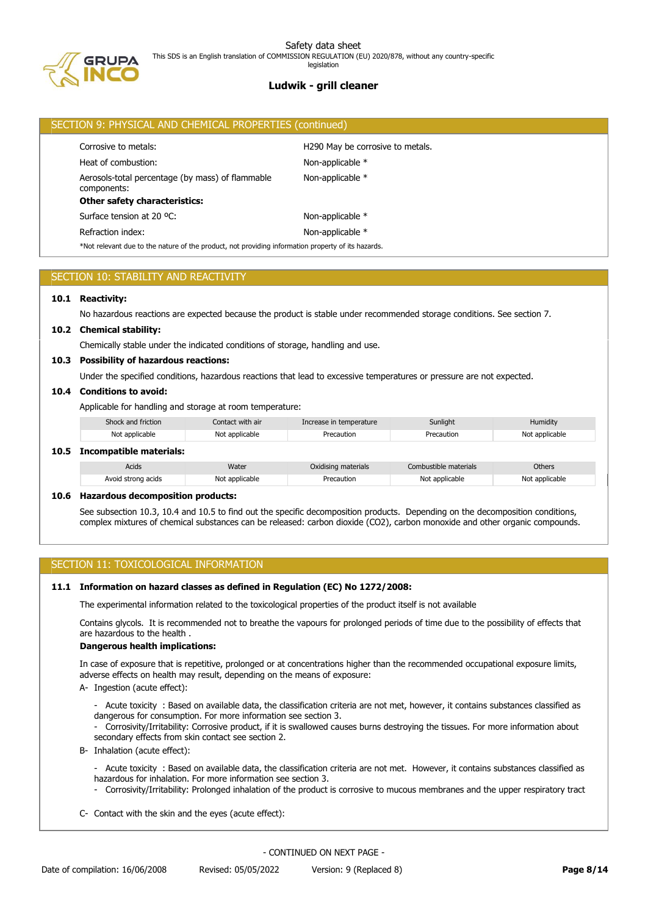

# **Ludwik - grill cleaner** legislation

|                                                                      | SECTION 9: PHYSICAL AND CHEMICAL PROPERTIES (continued)                                            |                  |  |  |  |  |
|----------------------------------------------------------------------|----------------------------------------------------------------------------------------------------|------------------|--|--|--|--|
| H <sub>290</sub> May be corrosive to metals.<br>Corrosive to metals: |                                                                                                    |                  |  |  |  |  |
|                                                                      | Heat of combustion:                                                                                | Non-applicable * |  |  |  |  |
|                                                                      | Aerosols-total percentage (by mass) of flammable<br>components:                                    | Non-applicable * |  |  |  |  |
|                                                                      | <b>Other safety characteristics:</b>                                                               |                  |  |  |  |  |
|                                                                      | Surface tension at 20 °C:                                                                          | Non-applicable * |  |  |  |  |
| Refraction index:<br>Non-applicable *                                |                                                                                                    |                  |  |  |  |  |
|                                                                      | *Not relevant due to the nature of the product, not providing information property of its hazards. |                  |  |  |  |  |
|                                                                      |                                                                                                    |                  |  |  |  |  |

# SECTION 10: STABILITY AND REACTIVITY

## **10.1 Reactivity:**

No hazardous reactions are expected because the product is stable under recommended storage conditions. See section 7.

#### **10.2 Chemical stability:**

Chemically stable under the indicated conditions of storage, handling and use.

#### **10.3 Possibility of hazardous reactions:**

Under the specified conditions, hazardous reactions that lead to excessive temperatures or pressure are not expected.

## **10.4 Conditions to avoid:**

Applicable for handling and storage at room temperature:

| Shock and friction      | Contact with air | Increase in temperature | Sunlight   | Humidity       |  |  |
|-------------------------|------------------|-------------------------|------------|----------------|--|--|
| Not applicable          | Not applicable   | Precaution              | Precaution | Not applicable |  |  |
| Incomnatible materials: |                  |                         |            |                |  |  |

#### **10.5 Incompatible materials:**

| Acids              | Water          | Oxidising materials | Combustible materials | Others         |
|--------------------|----------------|---------------------|-----------------------|----------------|
| Avoid strong acids | Not applicable | Precaution          | Not applicable        | Not applicable |

#### **10.6 Hazardous decomposition products:**

See subsection 10.3, 10.4 and 10.5 to find out the specific decomposition products. Depending on the decomposition conditions, complex mixtures of chemical substances can be released: carbon dioxide (CO2), carbon monoxide and other organic compounds.

## SECTION 11: TOXICOLOGICAL INFORMATION

### **11.1 Information on hazard classes as defined in Regulation (EC) No 1272/2008:**

The experimental information related to the toxicological properties of the product itself is not available

Contains glycols. It is recommended not to breathe the vapours for prolonged periods of time due to the possibility of effects that are hazardous to the health .

### **Dangerous health implications:**

In case of exposure that is repetitive, prolonged or at concentrations higher than the recommended occupational exposure limits, adverse effects on health may result, depending on the means of exposure:

A- Ingestion (acute effect):

- Acute toxicity : Based on available data, the classification criteria are not met, however, it contains substances classified as dangerous for consumption. For more information see section 3.

- Corrosivity/Irritability: Corrosive product, if it is swallowed causes burns destroying the tissues. For more information about secondary effects from skin contact see section 2.

B- Inhalation (acute effect):

- Acute toxicity : Based on available data, the classification criteria are not met. However, it contains substances classified as hazardous for inhalation. For more information see section 3.

- Corrosivity/Irritability: Prolonged inhalation of the product is corrosive to mucous membranes and the upper respiratory tract
- C- Contact with the skin and the eyes (acute effect):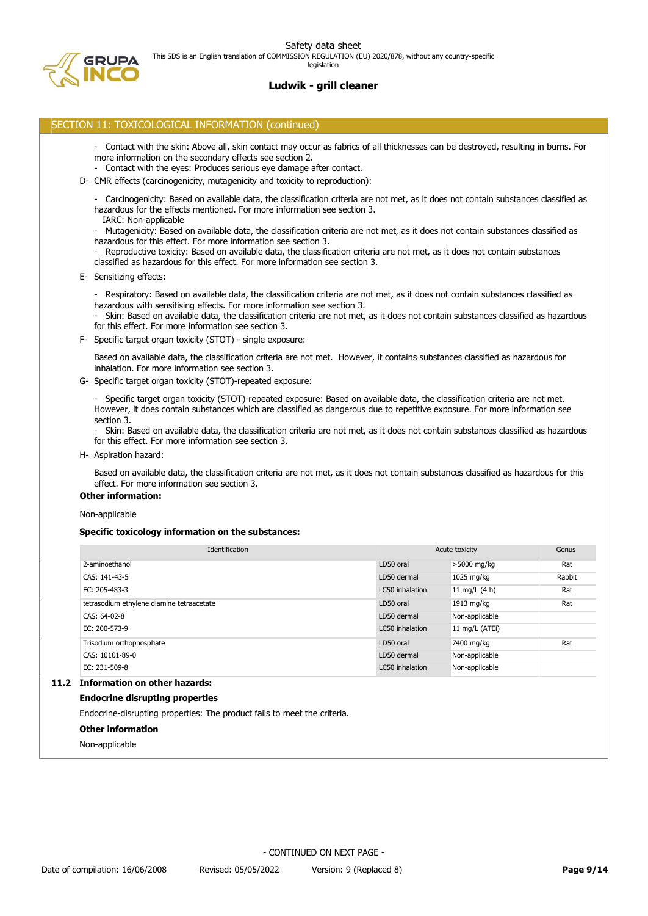# **Ludwik - grill cleaner**

#### SECTION 11: TOXICOLOGICAL INFORMATION (continued)

- Contact with the skin: Above all, skin contact may occur as fabrics of all thicknesses can be destroyed, resulting in burns. For more information on the secondary effects see section 2.
- Contact with the eyes: Produces serious eye damage after contact.
- D- CMR effects (carcinogenicity, mutagenicity and toxicity to reproduction):
	- Carcinogenicity: Based on available data, the classification criteria are not met, as it does not contain substances classified as hazardous for the effects mentioned. For more information see section 3.
	- IARC: Non-applicable
	- Mutagenicity: Based on available data, the classification criteria are not met, as it does not contain substances classified as hazardous for this effect. For more information see section 3.
	- Reproductive toxicity: Based on available data, the classification criteria are not met, as it does not contain substances classified as hazardous for this effect. For more information see section 3.
- E- Sensitizing effects:
	- Respiratory: Based on available data, the classification criteria are not met, as it does not contain substances classified as hazardous with sensitising effects. For more information see section 3.
	- Skin: Based on available data, the classification criteria are not met, as it does not contain substances classified as hazardous for this effect. For more information see section 3.
- F- Specific target organ toxicity (STOT) single exposure:
	- Based on available data, the classification criteria are not met. However, it contains substances classified as hazardous for inhalation. For more information see section 3.
- G- Specific target organ toxicity (STOT)-repeated exposure:

- Specific target organ toxicity (STOT)-repeated exposure: Based on available data, the classification criteria are not met. However, it does contain substances which are classified as dangerous due to repetitive exposure. For more information see section 3.

- Skin: Based on available data, the classification criteria are not met, as it does not contain substances classified as hazardous for this effect. For more information see section 3.

H- Aspiration hazard:

Based on available data, the classification criteria are not met, as it does not contain substances classified as hazardous for this effect. For more information see section 3.

## **Other information:**

Non-applicable

#### **Specific toxicology information on the substances:**

| Identification                              | Acute toxicity  | Genus           |        |
|---------------------------------------------|-----------------|-----------------|--------|
| 2-aminoethanol                              | LD50 oral       | >5000 mg/kg     | Rat    |
| CAS: 141-43-5                               | LD50 dermal     | 1025 mg/kg      | Rabbit |
| EC: 205-483-3                               | LC50 inhalation | 11 mg/L $(4 h)$ | Rat    |
| tetrasodium ethylene diamine tetraacetate   | LD50 oral       | 1913 mg/kg      | Rat    |
| CAS: 64-02-8                                | LD50 dermal     | Non-applicable  |        |
| EC: 200-573-9                               | LC50 inhalation | 11 mg/L (ATEi)  |        |
| Trisodium orthophosphate                    | LD50 oral       | 7400 mg/kg      | Rat    |
| CAS: 10101-89-0                             | LD50 dermal     | Non-applicable  |        |
| EC: 231-509-8                               | LC50 inhalation | Non-applicable  |        |
| The Communist and a contract the second and |                 |                 |        |

# **11.2 Information on other hazards:**

#### **Endocrine disrupting properties**

Endocrine-disrupting properties: The product fails to meet the criteria.

- **Other information**
- Non-applicable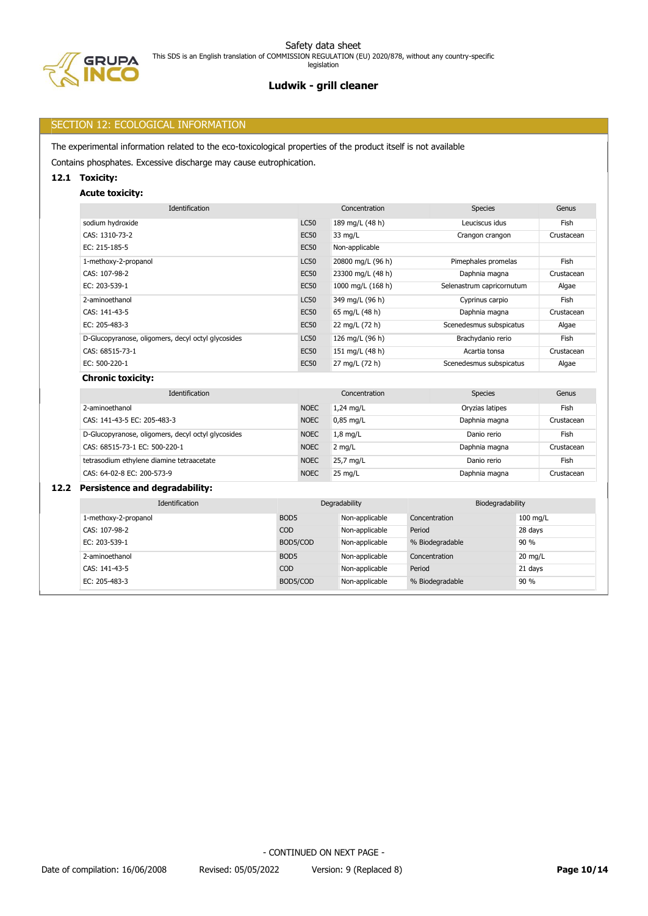PA

# **Ludwik - grill cleaner**

## SECTION 12: ECOLOGICAL INFORMATION

The experimental information related to the eco-toxicological properties of the product itself is not available

Contains phosphates. Excessive discharge may cause eutrophication.

## **12.1 Toxicity:**

## **Acute toxicity:**

| Identification                                     | Concentration |                   | <b>Species</b>            | Genus      |
|----------------------------------------------------|---------------|-------------------|---------------------------|------------|
| sodium hydroxide                                   | <b>LC50</b>   | 189 mg/L (48 h)   | Leuciscus idus            | Fish       |
| CAS: 1310-73-2                                     | <b>EC50</b>   | 33 mg/L           | Crangon crangon           | Crustacean |
| EC: 215-185-5                                      | <b>EC50</b>   | Non-applicable    |                           |            |
| 1-methoxy-2-propanol                               | <b>LC50</b>   | 20800 mg/L (96 h) | Pimephales promelas       | Fish       |
| CAS: 107-98-2                                      | <b>EC50</b>   | 23300 mg/L (48 h) | Daphnia magna             | Crustacean |
| EC: 203-539-1                                      | <b>EC50</b>   | 1000 mg/L (168 h) | Selenastrum capricornutum | Algae      |
| 2-aminoethanol                                     | <b>LC50</b>   | 349 mg/L (96 h)   | Cyprinus carpio           | Fish       |
| CAS: 141-43-5                                      | <b>EC50</b>   | 65 mg/L (48 h)    | Daphnia magna             | Crustacean |
| EC: 205-483-3                                      | <b>EC50</b>   | 22 mg/L (72 h)    | Scenedesmus subspicatus   | Algae      |
| D-Glucopyranose, oligomers, decyl octyl glycosides | <b>LC50</b>   | 126 mg/L (96 h)   | Brachydanio rerio         | Fish       |
| CAS: 68515-73-1                                    | <b>EC50</b>   | 151 mg/L (48 h)   | Acartia tonsa             | Crustacean |
| EC: 500-220-1                                      | <b>EC50</b>   | 27 mg/L (72 h)    | Scenedesmus subspicatus   | Algae      |
| <b>Chronic toxicity:</b>                           |               |                   |                           |            |

| Identification                                                    |             | Concentration     | Species         | Genus      |  |
|-------------------------------------------------------------------|-------------|-------------------|-----------------|------------|--|
| 2-aminoethanol                                                    | <b>NOEC</b> | $1,24$ mg/L       | Oryzias latipes | Fish       |  |
| CAS: 141-43-5 EC: 205-483-3                                       | <b>NOEC</b> | $0.85$ mg/L       | Daphnia magna   | Crustacean |  |
| D-Glucopyranose, oligomers, decyl octyl glycosides<br><b>NOEC</b> |             | $1,8$ mg/L        | Danio rerio     | Fish       |  |
| CAS: 68515-73-1 EC: 500-220-1                                     | <b>NOEC</b> | $2$ mg/L          | Daphnia magna   | Crustacean |  |
| tetrasodium ethylene diamine tetraacetate                         | <b>NOEC</b> | 25,7 mg/L         | Danio rerio     | Fish       |  |
| CAS: 64-02-8 EC: 200-573-9                                        | <b>NOEC</b> | $25 \text{ mg/L}$ | Daphnia magna   | Crustacean |  |

## **12.2 Persistence and degradability:**

| Identification       |                  | Degradability  | Biodegradability |           |
|----------------------|------------------|----------------|------------------|-----------|
| 1-methoxy-2-propanol | BOD <sub>5</sub> | Non-applicable | Concentration    | 100 mg/L  |
| CAS: 107-98-2        | <b>COD</b>       | Non-applicable | Period           | 28 days   |
| EC: 203-539-1        | BOD5/COD         | Non-applicable | % Biodegradable  | 90 %      |
| 2-aminoethanol       | BOD <sub>5</sub> | Non-applicable | Concentration    | $20$ mg/L |
| CAS: 141-43-5        | <b>COD</b>       | Non-applicable | Period           | 21 days   |
| EC: 205-483-3        | BOD5/COD         | Non-applicable | % Biodegradable  | 90 %      |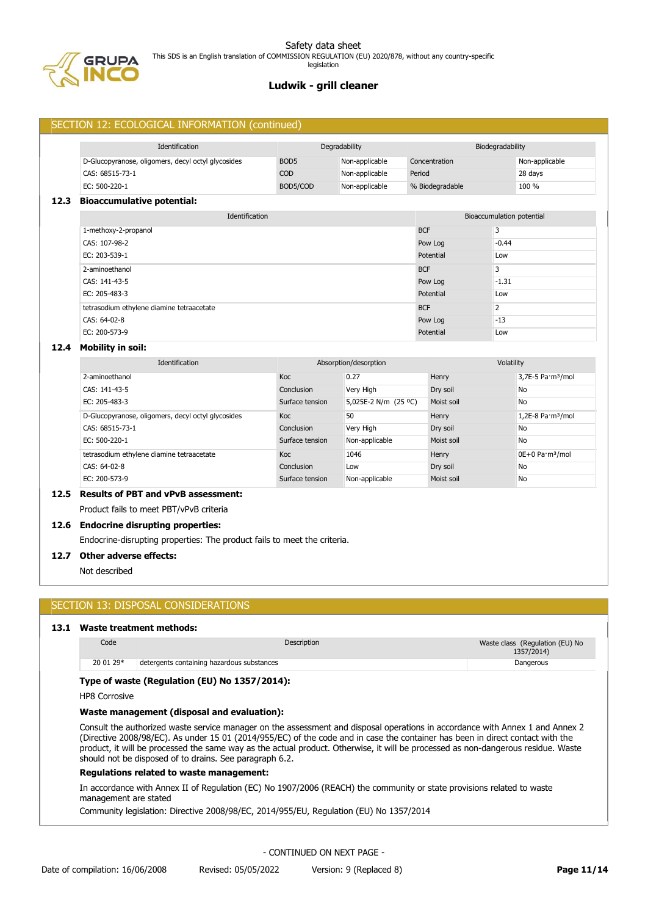

|                                           | SECTION 12: ECOLOGICAL INFORMATION (continued)     |                  |                       |                 |                           |                                         |
|-------------------------------------------|----------------------------------------------------|------------------|-----------------------|-----------------|---------------------------|-----------------------------------------|
|                                           | Identification                                     | Degradability    |                       |                 | Biodegradability          |                                         |
|                                           | D-Glucopyranose, oligomers, decyl octyl glycosides | BOD <sub>5</sub> | Non-applicable        | Concentration   |                           | Non-applicable                          |
|                                           | CAS: 68515-73-1                                    | COD              | Non-applicable        | Period          |                           | 28 days                                 |
|                                           | EC: 500-220-1                                      | BOD5/COD         | Non-applicable        | % Biodegradable |                           | 100 %                                   |
| 12.3                                      | <b>Bioaccumulative potential:</b>                  |                  |                       |                 |                           |                                         |
|                                           | Identification                                     |                  |                       |                 | Bioaccumulation potential |                                         |
|                                           | 1-methoxy-2-propanol                               |                  |                       | <b>BCF</b>      | 3                         |                                         |
|                                           | CAS: 107-98-2                                      |                  |                       | Pow Log         | $-0.44$                   |                                         |
|                                           | EC: 203-539-1                                      |                  |                       | Potential       | Low                       |                                         |
|                                           | 2-aminoethanol                                     |                  |                       | <b>BCF</b>      | 3                         |                                         |
|                                           | CAS: 141-43-5                                      |                  | Pow Log               | $-1.31$         |                           |                                         |
|                                           | EC: 205-483-3                                      |                  |                       | Potential       | Low                       |                                         |
| tetrasodium ethylene diamine tetraacetate |                                                    |                  | <b>BCF</b>            |                 | $\overline{2}$            |                                         |
|                                           | CAS: 64-02-8                                       | $-13$<br>Pow Log |                       |                 |                           |                                         |
|                                           | EC: 200-573-9                                      |                  |                       | Potential       | Low                       |                                         |
| 12.4                                      | <b>Mobility in soil:</b>                           |                  |                       |                 |                           |                                         |
|                                           | Identification                                     |                  | Absorption/desorption |                 | Volatility                |                                         |
|                                           | 2-aminoethanol                                     | Koc              | 0.27                  | Henry           |                           | 3,7E-5 Pa·m <sup>3</sup> /mol           |
|                                           | CAS: 141-43-5                                      | Conclusion       | Very High             | Dry soil        |                           | <b>No</b>                               |
|                                           | EC: 205-483-3                                      | Surface tension  | 5,025E-2 N/m (25 °C)  | Moist soil      |                           | <b>No</b>                               |
|                                           | D-Glucopyranose, oligomers, decyl octyl glycosides | Koc              | 50                    | Henry           |                           | $1,2E-8$ Pa $\cdot$ m <sup>3</sup> /mol |
|                                           | CAS: 68515-73-1                                    | Conclusion       | Very High             | Dry soil        |                           | <b>No</b>                               |
|                                           | EC: 500-220-1                                      | Surface tension  | Non-applicable        | Moist soil      |                           | <b>No</b>                               |
|                                           | tetrasodium ethylene diamine tetraacetate          | Koc.             | 1046                  | Henry           |                           | 0E+0 Pa·m <sup>3</sup> /mol             |
|                                           | CAS: 64-02-8                                       | Conclusion       | Low                   | Dry soil        |                           | <b>No</b>                               |

EC: 200-573-9 Surface tension Non-applicable Moist soil No

# **12.5 Results of PBT and vPvB assessment:**

Product fails to meet PBT/vPvB criteria

#### **12.6 Endocrine disrupting properties:**

Endocrine-disrupting properties: The product fails to meet the criteria.

#### **12.7 Other adverse effects:**

Not described

## SECTION 13: DISPOSAL CONSIDERATIONS

## **13.1 Waste treatment methods:**

| Code      | Description                                | Waste class (Regulation (EU) No<br>1357/2014) |
|-----------|--------------------------------------------|-----------------------------------------------|
| 20 01 29* | detergents containing hazardous substances | Dangerous                                     |

## **Type of waste (Regulation (EU) No 1357/2014):**

HP8 Corrosive

## **Waste management (disposal and evaluation):**

Consult the authorized waste service manager on the assessment and disposal operations in accordance with Annex 1 and Annex 2 (Directive 2008/98/EC). As under 15 01 (2014/955/EC) of the code and in case the container has been in direct contact with the product, it will be processed the same way as the actual product. Otherwise, it will be processed as non-dangerous residue. Waste should not be disposed of to drains. See paragraph 6.2.

#### **Regulations related to waste management:**

In accordance with Annex II of Regulation (EC) No 1907/2006 (REACH) the community or state provisions related to waste management are stated

Community legislation: Directive 2008/98/EC, 2014/955/EU, Regulation (EU) No 1357/2014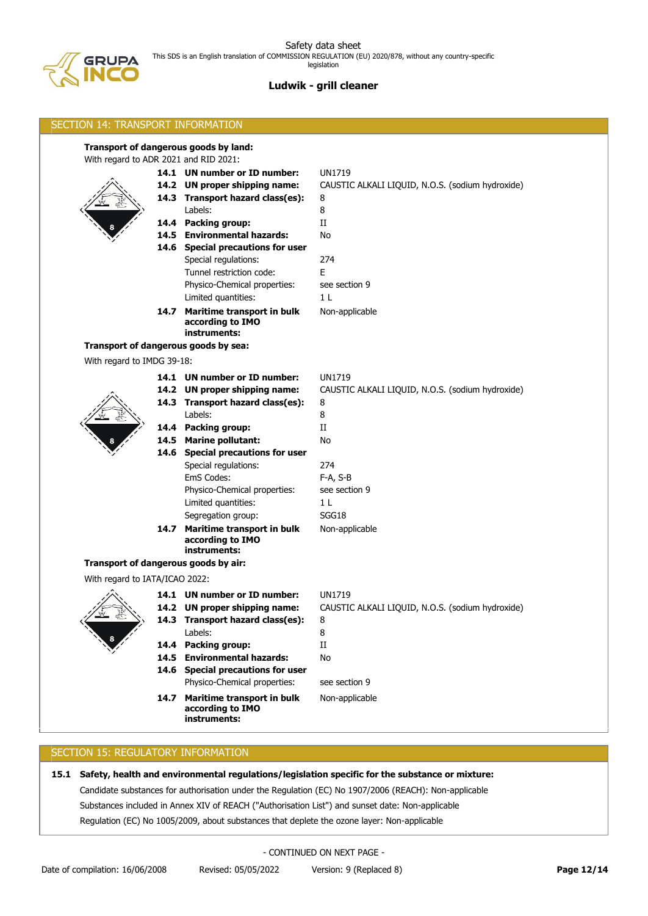

# **Ludwik - grill cleaner**

| <b>SECTION 14: TRANSPORT INFORMATION</b> |  |                                                                     |                                                                   |  |  |
|------------------------------------------|--|---------------------------------------------------------------------|-------------------------------------------------------------------|--|--|
| With regard to ADR 2021 and RID 2021:    |  | Transport of dangerous goods by land:                               |                                                                   |  |  |
|                                          |  | 14.1 UN number or ID number:<br>14.2 UN proper shipping name:       | <b>UN1719</b><br>CAUSTIC ALKALI LIQUID, N.O.S. (sodium hydroxide) |  |  |
|                                          |  | 14.3 Transport hazard class(es):<br>Labels:                         | 8<br>8                                                            |  |  |
|                                          |  | 14.4 Packing group:                                                 | $_{\rm II}$                                                       |  |  |
|                                          |  | 14.5 Environmental hazards:                                         | No                                                                |  |  |
|                                          |  | 14.6 Special precautions for user<br>Special regulations:           | 274                                                               |  |  |
|                                          |  | Tunnel restriction code:                                            | E.                                                                |  |  |
|                                          |  | Physico-Chemical properties:                                        | see section 9                                                     |  |  |
|                                          |  | Limited quantities:                                                 | 1 L                                                               |  |  |
|                                          |  | 14.7 Maritime transport in bulk<br>according to IMO<br>instruments: | Non-applicable                                                    |  |  |
|                                          |  | Transport of dangerous goods by sea:                                |                                                                   |  |  |
| With regard to IMDG 39-18:               |  |                                                                     |                                                                   |  |  |
|                                          |  | 14.1 UN number or ID number:                                        | <b>UN1719</b>                                                     |  |  |
|                                          |  | 14.2 UN proper shipping name:                                       | CAUSTIC ALKALI LIQUID, N.O.S. (sodium hydroxide)                  |  |  |
|                                          |  | 14.3 Transport hazard class(es):                                    | 8                                                                 |  |  |
|                                          |  | Labels:                                                             | 8                                                                 |  |  |
|                                          |  | 14.4 Packing group:                                                 | П                                                                 |  |  |
|                                          |  | 14.5 Marine pollutant:                                              | No                                                                |  |  |
|                                          |  | 14.6 Special precautions for user                                   |                                                                   |  |  |
|                                          |  | Special regulations:                                                | 274                                                               |  |  |
|                                          |  | EmS Codes:                                                          | F-A, S-B                                                          |  |  |
|                                          |  | Physico-Chemical properties:                                        | see section 9                                                     |  |  |
|                                          |  | Limited quantities:<br>Segregation group:                           | 1 L<br>SGG18                                                      |  |  |
|                                          |  | 14.7 Maritime transport in bulk                                     | Non-applicable                                                    |  |  |
|                                          |  | according to IMO<br>instruments:                                    |                                                                   |  |  |
| Transport of dangerous goods by air:     |  |                                                                     |                                                                   |  |  |
| With regard to IATA/ICAO 2022:           |  |                                                                     |                                                                   |  |  |
|                                          |  | 14.1 UN number or ID number:                                        | UN1719                                                            |  |  |
|                                          |  | 14.2 UN proper shipping name:                                       | CAUSTIC ALKALI LIQUID, N.O.S. (sodium hydroxide)                  |  |  |
|                                          |  | 14.3 Transport hazard class(es):                                    | 8                                                                 |  |  |
|                                          |  | Labels:                                                             | 8                                                                 |  |  |
|                                          |  | 14.4 Packing group:                                                 | $\rm II$                                                          |  |  |
|                                          |  | 14.5 Environmental hazards:<br>14.6 Special precautions for user    | No                                                                |  |  |
|                                          |  | Physico-Chemical properties:                                        | see section 9                                                     |  |  |
|                                          |  | 14.7 Maritime transport in bulk<br>according to IMO<br>instruments: | Non-applicable                                                    |  |  |
|                                          |  |                                                                     |                                                                   |  |  |

# SECTION 15: REGULATORY INFORMATION

**15.1 Safety, health and environmental regulations/legislation specific for the substance or mixture:**

Candidate substances for authorisation under the Regulation (EC) No 1907/2006 (REACH): Non-applicable

Substances included in Annex XIV of REACH ("Authorisation List") and sunset date: Non-applicable

Regulation (EC) No 1005/2009, about substances that deplete the ozone layer: Non-applicable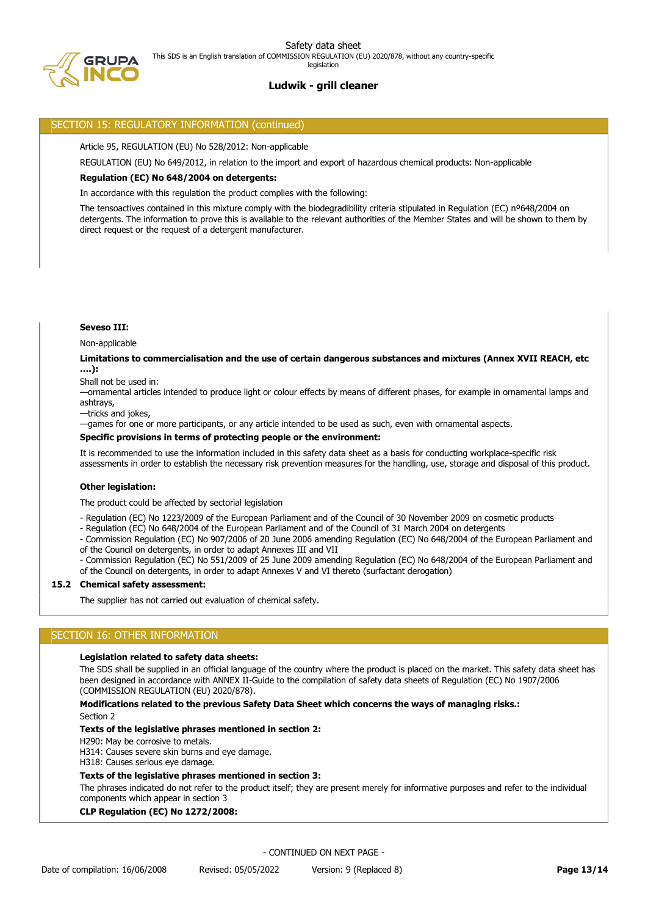## SECTION 15: REGULATORY INFORMATION (continued)

Article 95, REGULATION (EU) No 528/2012: Non-applicable

REGULATION (EU) No 649/2012, in relation to the import and export of hazardous chemical products: Non-applicable

## **Regulation (EC) No 648/2004 on detergents:**

In accordance with this regulation the product complies with the following:

The tensoactives contained in this mixture comply with the biodegradibility criteria stipulated in Regulation (EC) nº648/2004 on detergents. The information to prove this is available to the relevant authorities of the Member States and will be shown to them by direct request or the request of a detergent manufacturer.

## **Seveso III:**

Non-applicable

#### **Limitations to commercialisation and the use of certain dangerous substances and mixtures (Annex XVII REACH, etc ….):**

Shall not be used in:

—ornamental articles intended to produce light or colour effects by means of different phases, for example in ornamental lamps and ashtrays,

—tricks and jokes,

—games for one or more participants, or any article intended to be used as such, even with ornamental aspects.

#### **Specific provisions in terms of protecting people or the environment:**

It is recommended to use the information included in this safety data sheet as a basis for conducting workplace-specific risk assessments in order to establish the necessary risk prevention measures for the handling, use, storage and disposal of this product.

#### **Other legislation:**

The product could be affected by sectorial legislation

- Regulation (EC) No 1223/2009 of the European Parliament and of the Council of 30 November 2009 on cosmetic products

- Regulation (EC) No 648/2004 of the European Parliament and of the Council of 31 March 2004 on detergents

- Commission Regulation (EC) No 907/2006 of 20 June 2006 amending Regulation (EC) No 648/2004 of the European Parliament and of the Council on detergents, in order to adapt Annexes III and VII

- Commission Regulation (EC) No 551/2009 of 25 June 2009 amending Regulation (EC) No 648/2004 of the European Parliament and

of the Council on detergents, in order to adapt Annexes V and VI thereto (surfactant derogation)

#### **15.2 Chemical safety assessment:**

The supplier has not carried out evaluation of chemical safety.

# SECTION 16: OTHER INFORMATION

#### **Legislation related to safety data sheets:**

The SDS shall be supplied in an official language of the country where the product is placed on the market. This safety data sheet has been designed in accordance with ANNEX II-Guide to the compilation of safety data sheets of Regulation (EC) No 1907/2006 (COMMISSION REGULATION (EU) 2020/878).

## **Modifications related to the previous Safety Data Sheet which concerns the ways of managing risks.:**

Section 2

## **Texts of the legislative phrases mentioned in section 2:**

H290: May be corrosive to metals.

H314: Causes severe skin burns and eye damage.

H318: Causes serious eye damage.

## **Texts of the legislative phrases mentioned in section 3:**

The phrases indicated do not refer to the product itself; they are present merely for informative purposes and refer to the individual components which appear in section 3

**CLP Regulation (EC) No 1272/2008:**